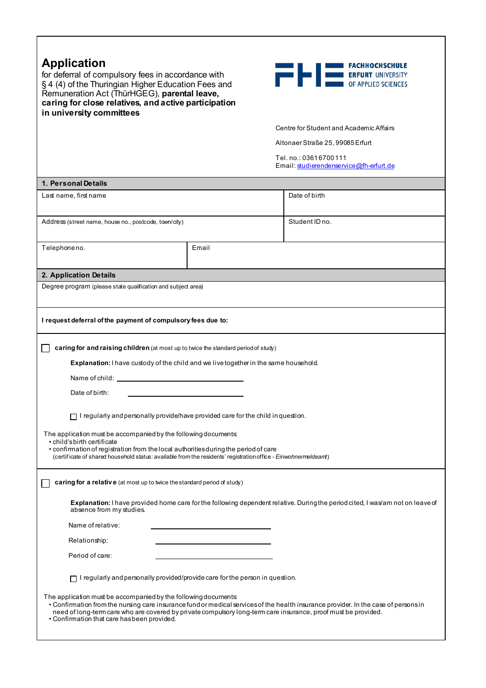| <b>Application</b><br>for deferral of compulsory fees in accordance with<br>§ 4 (4) of the Thuringian Higher Education Fees and<br>Remuneration Act (ThürHGEG), parental leave,<br>caring for close relatives, and active participation<br>in university committees                                                                                                                                                                                                                            |       | <b>EXAMPLE 19   DESCRIPTION FACHNOCHSCHULE</b>                                                                                      |  |
|------------------------------------------------------------------------------------------------------------------------------------------------------------------------------------------------------------------------------------------------------------------------------------------------------------------------------------------------------------------------------------------------------------------------------------------------------------------------------------------------|-------|-------------------------------------------------------------------------------------------------------------------------------------|--|
|                                                                                                                                                                                                                                                                                                                                                                                                                                                                                                |       | Centre for Student and Academic Affairs                                                                                             |  |
|                                                                                                                                                                                                                                                                                                                                                                                                                                                                                                |       | Altonaer Straße 25, 99085 Erfurt                                                                                                    |  |
|                                                                                                                                                                                                                                                                                                                                                                                                                                                                                                |       | Tel.no.: 03616700111<br>Email: studierendenservice@fh-erfurt.de                                                                     |  |
| 1. Personal Details                                                                                                                                                                                                                                                                                                                                                                                                                                                                            |       |                                                                                                                                     |  |
| Last name, first name                                                                                                                                                                                                                                                                                                                                                                                                                                                                          |       | Date of birth                                                                                                                       |  |
| Address (street name, house no., postcode, town/city)                                                                                                                                                                                                                                                                                                                                                                                                                                          |       | Student ID no.                                                                                                                      |  |
| Telephoneno.                                                                                                                                                                                                                                                                                                                                                                                                                                                                                   | Email |                                                                                                                                     |  |
| 2. Application Details                                                                                                                                                                                                                                                                                                                                                                                                                                                                         |       |                                                                                                                                     |  |
| Degree program (please state qualification and subject area)                                                                                                                                                                                                                                                                                                                                                                                                                                   |       |                                                                                                                                     |  |
| I request deferral of the payment of compulsory fees due to:<br>caring for and raising children (at most up to twice the standard period of study)<br>Explanation: I have custody of the child and we live together in the same household.<br>Name of child: University of the University of Childs and Childs and Childs and Childs and Childs and Childs and Childs and Childs and Childs and Childs and Childs and Childs and Childs and Childs and Childs and Childs and<br>Date of birth: |       |                                                                                                                                     |  |
| $\Box$ I regularly and personally provide/have provided care for the child in question.                                                                                                                                                                                                                                                                                                                                                                                                        |       |                                                                                                                                     |  |
| The application must be accompanied by the following documents:<br>• child's birth certificate<br>• confirmation of registration from the local authorities during the period of care<br>(certificate of shared household status: available from the residents' registration office - Einwohnermeldeamt)                                                                                                                                                                                       |       |                                                                                                                                     |  |
| caring for a relative (at most up to twice the standard period of study)                                                                                                                                                                                                                                                                                                                                                                                                                       |       |                                                                                                                                     |  |
| Explanation: I have provided home care for the following dependent relative. During the period cited, I was/am not on leave of<br>absence from my studies.                                                                                                                                                                                                                                                                                                                                     |       |                                                                                                                                     |  |
| Name of relative:                                                                                                                                                                                                                                                                                                                                                                                                                                                                              |       |                                                                                                                                     |  |
| Relationship:                                                                                                                                                                                                                                                                                                                                                                                                                                                                                  |       |                                                                                                                                     |  |
| Period of care:                                                                                                                                                                                                                                                                                                                                                                                                                                                                                |       |                                                                                                                                     |  |
| $\Box$ I regularly and personally provided/provide care for the person in question.                                                                                                                                                                                                                                                                                                                                                                                                            |       |                                                                                                                                     |  |
| The application must be accompanied by the following documents:<br>need of long-term care who are covered by private compulsory long-term care insurance, proof must be provided.<br>• Confirmation that care has been provided.                                                                                                                                                                                                                                                               |       | • Confirmation from the nursing care insurance fund or medical services of the health insurance provider. In the case of persons in |  |